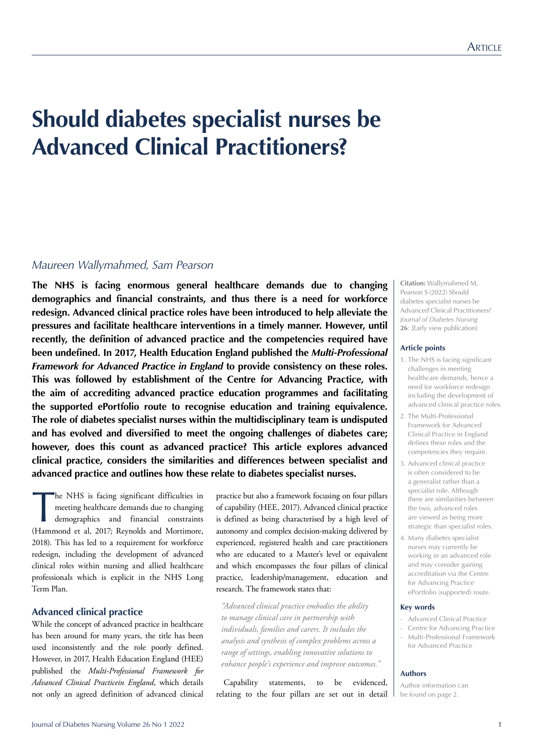# **Should diabetes specialist nurses be Advanced Clinical Practitioners?**

# *Maureen Wallymahmed, Sam Pearson*

**The NHS is facing enormous general healthcare demands due to changing demographics and financial constraints, and thus there is a need for workforce redesign. Advanced clinical practice roles have been introduced to help alleviate the pressures and facilitate healthcare interventions in a timely manner. However, until recently, the definition of advanced practice and the competencies required have been undefined. In 2017, Health Education England published the** *Multi-Professional Framework for Advanced Practice in England* **to provide consistency on these roles. This was followed by establishment of the Centre for Advancing Practice, with the aim of accrediting advanced practice education programmes and facilitating the supported ePortfolio route to recognise education and training equivalence. The role of diabetes specialist nurses within the multidisciplinary team is undisputed and has evolved and diversified to meet the ongoing challenges of diabetes care; however, does this count as advanced practice? This article explores advanced clinical practice, considers the similarities and differences between specialist and advanced practice and outlines how these relate to diabetes specialist nurses.**

The NHS is facing significant difficulties in<br>meeting healthcare demands due to changing<br>demographics and financial constraints<br>(Hammond et al, 2017; Reynolds and Mortimore, he NHS is facing significant difficulties in meeting healthcare demands due to changing demographics and financial constraints 2018). This has led to a requirement for workforce redesign, including the development of advanced clinical roles within nursing and allied healthcare professionals which is explicit in the NHS Long Term Plan.

# **Advanced clinical practice**

While the concept of advanced practice in healthcare has been around for many years, the title has been used inconsistently and the role poorly defined. However, in 2017, Health Education England (HEE) published the *Multi-Professional Framework for Advanced Clinical Practicein England*, which details not only an agreed definition of advanced clinical

practice but also a framework focusing on four pillars of capability (HEE, 2017). Advanced clinical practice is defined as being characterised by a high level of autonomy and complex decision-making delivered by experienced, registered health and care practitioners who are educated to a Master's level or equivalent and which encompasses the four pillars of clinical practice, leadership/management, education and research. The framework states that:

*"Advanced clinical practice embodies the ability to manage clinical care in partnership with individuals, families and carers. It includes the analysis and synthesis of complex problems across a range of settings, enabling innovative solutions to enhance people's experience and improve outcomes."*

Capability statements, to be evidenced, relating to the four pillars are set out in detail **Citation:** Wallymahmed M, Pearson S (2022) Should diabetes specialist nurses be Advanced Clinical Practitioners? *Journal of Diabetes Nursing* **26**: [Early view publication]

#### **Article points**

- 1. The NHS is facing significant challenges in meeting healthcare demands, hence a need for workforce redesign including the development of advanced clinical practice roles.
- 2. The Multi-Professional Framework for Advanced Clinical Practice in England defines these roles and the competencies they require.
- 3. Advanced clinical practice is often considered to be a generalist rather than a specialist role. Although there are similarities between the two, advanced roles are viewed as being more strategic than specialist roles.
- 4. Many diabetes specialist nurses may currently be working in an advanced role and may consider gaining accreditation via the Centre for Advancing Practice ePortfolio (supported) route.

#### **Key words**

- Advanced Clinical Practice
- Centre for Advancing Practice - Multi-Professional Framework
- for Advanced Practice

#### **Authors**

Author information can be found on page 2.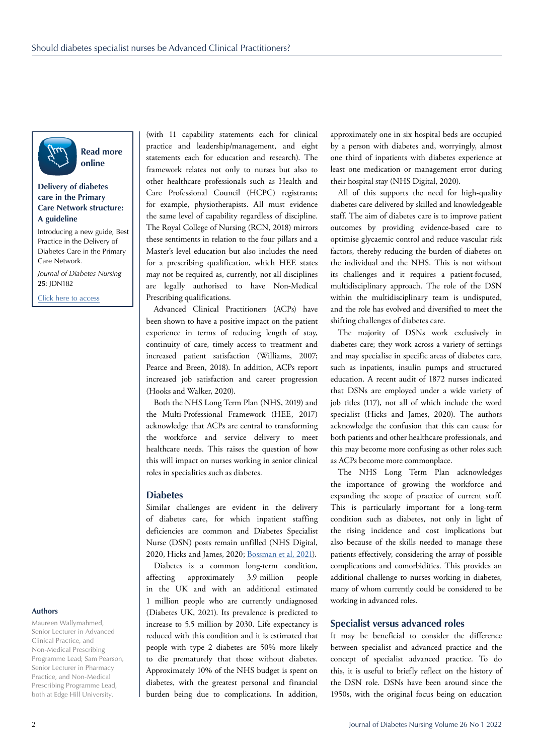

**Read more online**

# **Delivery of diabetes care in the Primary Care Network structure: A guideline**

Introducing a new guide, Best Practice in the Delivery of Diabetes Care in the Primary Care Network.

*Journal of Diabetes Nursing*  **25**: JDN182

[Click here to access](https://diabetesonthenet.com/Journal-diabetes-nursing/delivery-diabetes-care-primary-care-network-structure-guideline-jdn/)

# **Authors**

Maureen Wallymahmed, Senior Lecturer in Advanced Clinical Practice, and Non-Medical Prescribing Programme Lead; Sam Pearson, Senior Lecturer in Pharmacy Practice, and Non-Medical Prescribing Programme Lead, both at Edge Hill University.

(with 11 capability statements each for clinical practice and leadership/management, and eight statements each for education and research). The framework relates not only to nurses but also to other healthcare professionals such as Health and Care Professional Council (HCPC) registrants; for example, physiotherapists. All must evidence the same level of capability regardless of discipline. The Royal College of Nursing (RCN, 2018) mirrors these sentiments in relation to the four pillars and a Master's level education but also includes the need for a prescribing qualification, which HEE states may not be required as, currently, not all disciplines are legally authorised to have Non-Medical Prescribing qualifications.

Advanced Clinical Practitioners (ACPs) have been shown to have a positive impact on the patient experience in terms of reducing length of stay, continuity of care, timely access to treatment and increased patient satisfaction (Williams, 2007; Pearce and Breen, 2018). In addition, ACPs report increased job satisfaction and career progression (Hooks and Walker, 2020).

Both the NHS Long Term Plan (NHS, 2019) and the Multi-Professional Framework (HEE, 2017) acknowledge that ACPs are central to transforming the workforce and service delivery to meet healthcare needs. This raises the question of how this will impact on nurses working in senior clinical roles in specialities such as diabetes.

#### **Diabetes**

Similar challenges are evident in the delivery of diabetes care, for which inpatient staffing deficiencies are common and Diabetes Specialist Nurse (DSN) posts remain unfilled (NHS Digital, 2020, Hicks and James, 2020; [Bossman et al, 2021](https://diabetesonthenet.com/Journal-diabetes-nursing/the-impact-of-the-covid-19-pandemic-on-disn-workforce)).

Diabetes is a common long-term condition, affecting approximately 3.9 million people in the UK and with an additional estimated 1 million people who are currently undiagnosed (Diabetes UK, 2021). Its prevalence is predicted to increase to 5.5 million by 2030. Life expectancy is reduced with this condition and it is estimated that people with type 2 diabetes are 50% more likely to die prematurely that those without diabetes. Approximately 10% of the NHS budget is spent on diabetes, with the greatest personal and financial burden being due to complications. In addition, approximately one in six hospital beds are occupied by a person with diabetes and, worryingly, almost one third of inpatients with diabetes experience at least one medication or management error during their hospital stay (NHS Digital, 2020).

All of this supports the need for high-quality diabetes care delivered by skilled and knowledgeable staff. The aim of diabetes care is to improve patient outcomes by providing evidence-based care to optimise glycaemic control and reduce vascular risk factors, thereby reducing the burden of diabetes on the individual and the NHS. This is not without its challenges and it requires a patient-focused, multidisciplinary approach. The role of the DSN within the multidisciplinary team is undisputed, and the role has evolved and diversified to meet the shifting challenges of diabetes care.

The majority of DSNs work exclusively in diabetes care; they work across a variety of settings and may specialise in specific areas of diabetes care, such as inpatients, insulin pumps and structured education. A recent audit of 1872 nurses indicated that DSNs are employed under a wide variety of job titles (117), not all of which include the word specialist (Hicks and James, 2020). The authors acknowledge the confusion that this can cause for both patients and other healthcare professionals, and this may become more confusing as other roles such as ACPs become more commonplace.

The NHS Long Term Plan acknowledges the importance of growing the workforce and expanding the scope of practice of current staff. This is particularly important for a long-term condition such as diabetes, not only in light of the rising incidence and cost implications but also because of the skills needed to manage these patients effectively, considering the array of possible complications and comorbidities. This provides an additional challenge to nurses working in diabetes, many of whom currently could be considered to be working in advanced roles.

# **Specialist versus advanced roles**

It may be beneficial to consider the difference between specialist and advanced practice and the concept of specialist advanced practice. To do this, it is useful to briefly reflect on the history of the DSN role. DSNs have been around since the 1950s, with the original focus being on education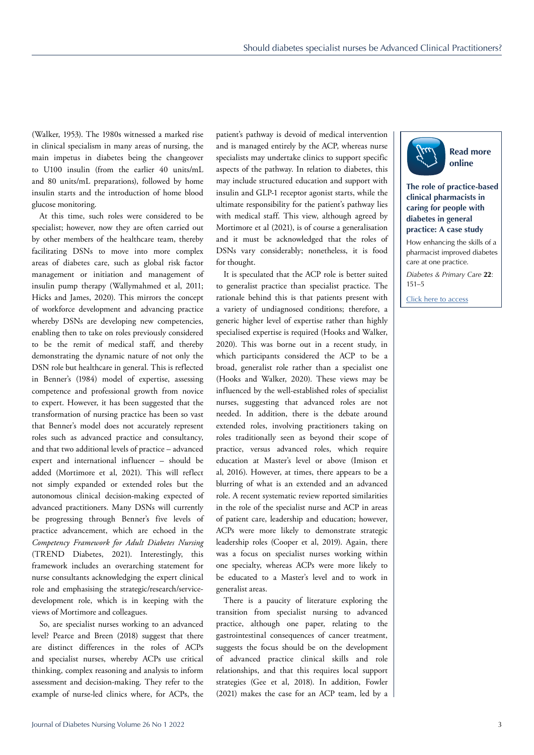(Walker, 1953). The 1980s witnessed a marked rise in clinical specialism in many areas of nursing, the main impetus in diabetes being the changeover to U100 insulin (from the earlier 40 units/mL and 80 units/mL preparations), followed by home insulin starts and the introduction of home blood glucose monitoring.

At this time, such roles were considered to be specialist; however, now they are often carried out by other members of the healthcare team, thereby facilitating DSNs to move into more complex areas of diabetes care, such as global risk factor management or initiation and management of insulin pump therapy (Wallymahmed et al, 2011; Hicks and James, 2020). This mirrors the concept of workforce development and advancing practice whereby DSNs are developing new competencies, enabling then to take on roles previously considered to be the remit of medical staff, and thereby demonstrating the dynamic nature of not only the DSN role but healthcare in general. This is reflected in Benner's (1984) model of expertise, assessing competence and professional growth from novice to expert. However, it has been suggested that the transformation of nursing practice has been so vast that Benner's model does not accurately represent roles such as advanced practice and consultancy, and that two additional levels of practice – advanced expert and international influencer – should be added (Mortimore et al, 2021). This will reflect not simply expanded or extended roles but the autonomous clinical decision-making expected of advanced practitioners. Many DSNs will currently be progressing through Benner's five levels of practice advancement, which are echoed in the *Competency Framework for Adult Diabetes Nursing* (TREND Diabetes, 2021). Interestingly, this framework includes an overarching statement for nurse consultants acknowledging the expert clinical role and emphasising the strategic/research/servicedevelopment role, which is in keeping with the views of Mortimore and colleagues.

So, are specialist nurses working to an advanced level? Pearce and Breen (2018) suggest that there are distinct differences in the roles of ACPs and specialist nurses, whereby ACPs use critical thinking, complex reasoning and analysis to inform assessment and decision-making. They refer to the example of nurse-led clinics where, for ACPs, the

patient's pathway is devoid of medical intervention and is managed entirely by the ACP, whereas nurse specialists may undertake clinics to support specific aspects of the pathway. In relation to diabetes, this may include structured education and support with insulin and GLP-1 receptor agonist starts, while the ultimate responsibility for the patient's pathway lies with medical staff. This view, although agreed by Mortimore et al (2021), is of course a generalisation and it must be acknowledged that the roles of DSNs vary considerably; nonetheless, it is food for thought.

It is speculated that the ACP role is better suited to generalist practice than specialist practice. The rationale behind this is that patients present with a variety of undiagnosed conditions; therefore, a generic higher level of expertise rather than highly specialised expertise is required (Hooks and Walker, 2020). This was borne out in a recent study, in which participants considered the ACP to be a broad, generalist role rather than a specialist one (Hooks and Walker, 2020). These views may be influenced by the well-established roles of specialist nurses, suggesting that advanced roles are not needed. In addition, there is the debate around extended roles, involving practitioners taking on roles traditionally seen as beyond their scope of practice, versus advanced roles, which require education at Master's level or above (Imison et al, 2016). However, at times, there appears to be a blurring of what is an extended and an advanced role. A recent systematic review reported similarities in the role of the specialist nurse and ACP in areas of patient care, leadership and education; however, ACPs were more likely to demonstrate strategic leadership roles (Cooper et al, 2019). Again, there was a focus on specialist nurses working within one specialty, whereas ACPs were more likely to be educated to a Master's level and to work in generalist areas.

There is a paucity of literature exploring the transition from specialist nursing to advanced practice, although one paper, relating to the gastrointestinal consequences of cancer treatment, suggests the focus should be on the development of advanced practice clinical skills and role relationships, and that this requires local support strategies (Gee et al, 2018). In addition, Fowler (2021) makes the case for an ACP team, led by a



# **The role of practice-based clinical pharmacists in caring for people with diabetes in general practice: A case study**

How enhancing the skills of a pharmacist improved diabetes care at one practice.

*Diabetes & Primary Care* **22**: 151–5

[Click here to access](https://diabetesonthenet.com/diabetes-primary-care/role-practice-based-clinical-pharmacists-caring-people-diabetes-general-practice-case-study/)